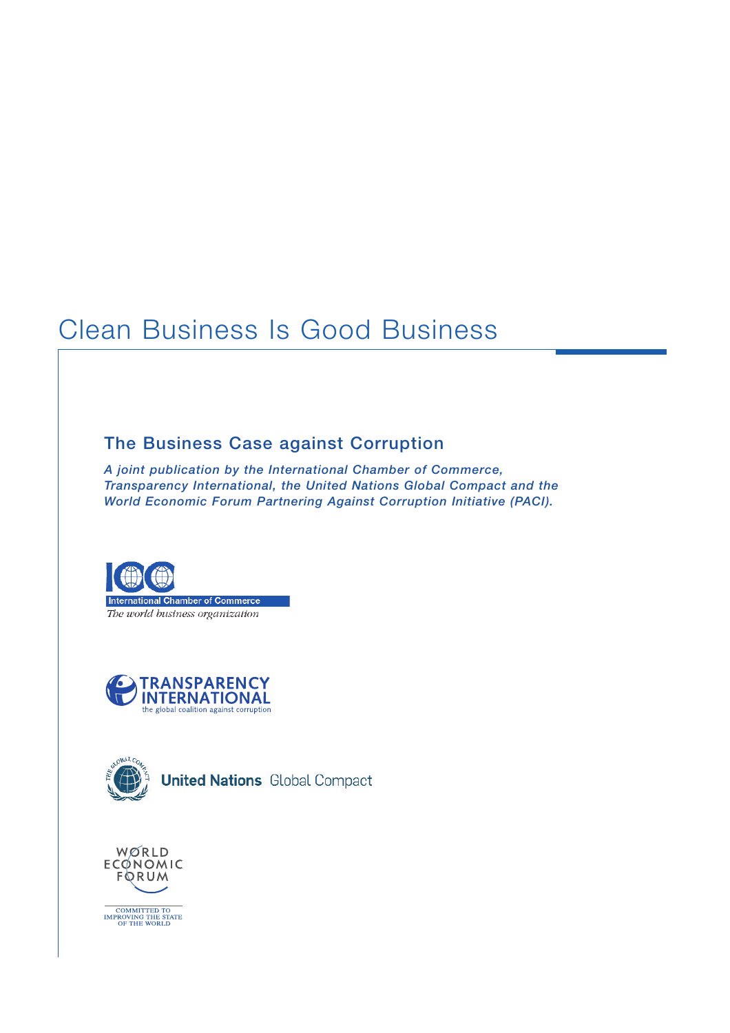# Clean Business Is Good Business

## **The Business Case against Corruption**

*A joint publication by the International Chamber of Commerce, Transparency International, the United Nations Global Compact and the World Economic Forum Partnering Against Corruption Initiative (PACI).*



The world business organization





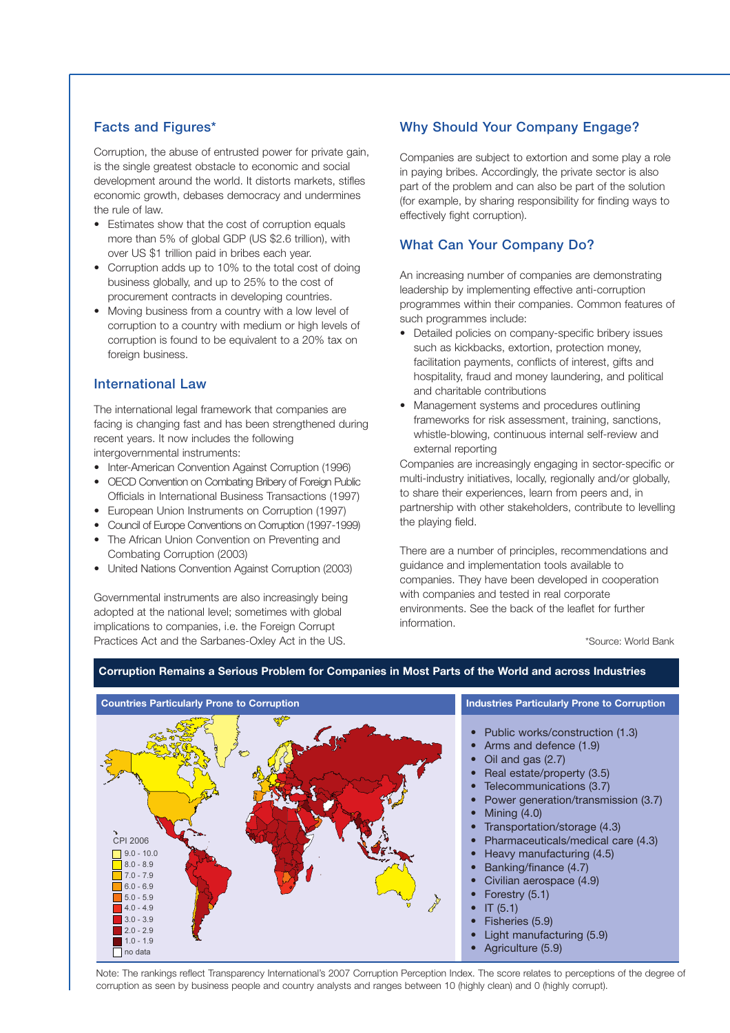#### **Facts and Figures\***

Corruption, the abuse of entrusted power for private gain, is the single greatest obstacle to economic and social development around the world. It distorts markets, stifles economic growth, debases democracy and undermines the rule of law.

- Estimates show that the cost of corruption equals more than 5% of global GDP (US \$2.6 trillion), with over US \$1 trillion paid in bribes each year.
- Corruption adds up to 10% to the total cost of doing business globally, and up to 25% to the cost of procurement contracts in developing countries.
- Moving business from a country with a low level of corruption to a country with medium or high levels of corruption is found to be equivalent to a 20% tax on foreign business.

#### **International Law**

The international legal framework that companies are facing is changing fast and has been strengthened during recent years. It now includes the following intergovernmental instruments:

- Inter-American Convention Against Corruption (1996)
- OECD Convention on Combating Bribery of Foreign Public Officials in International Business Transactions (1997)
- European Union Instruments on Corruption (1997)
- Council of Europe Conventions on Corruption (1997-1999)
- The African Union Convention on Preventing and Combating Corruption (2003)
- United Nations Convention Against Corruption (2003)

Governmental instruments are also increasingly being adopted at the national level; sometimes with global implications to companies, i.e. the Foreign Corrupt Practices Act and the Sarbanes-Oxley Act in the US.

### **Why Should Your Company Engage?**

Companies are subject to extortion and some play a role in paying bribes. Accordingly, the private sector is also part of the problem and can also be part of the solution (for example, by sharing responsibility for finding ways to effectively fight corruption).

#### **What Can Your Company Do?**

An increasing number of companies are demonstrating leadership by implementing effective anti-corruption programmes within their companies. Common features of such programmes include:

- Detailed policies on company-specific bribery issues such as kickbacks, extortion, protection money, facilitation payments, conflicts of interest, gifts and hospitality, fraud and money laundering, and political and charitable contributions
- Management systems and procedures outlining frameworks for risk assessment, training, sanctions, whistle-blowing, continuous internal self-review and external reporting

Companies are increasingly engaging in sector-specific or multi-industry initiatives, locally, regionally and/or globally, to share their experiences, learn from peers and, in partnership with other stakeholders, contribute to levelling the playing field.

There are a number of principles, recommendations and guidance and implementation tools available to companies. They have been developed in cooperation with companies and tested in real corporate environments. See the back of the leaflet for further information.

\*Source: World Bank



#### **Corruption Remains a Serious Problem for Companies in Most Parts of the World and across Industries**

Note: The rankings reflect Transparency International's 2007 Corruption Perception Index. The score relates to perceptions of the degree of corruption as seen by business people and country analysts and ranges between 10 (highly clean) and 0 (highly corrupt).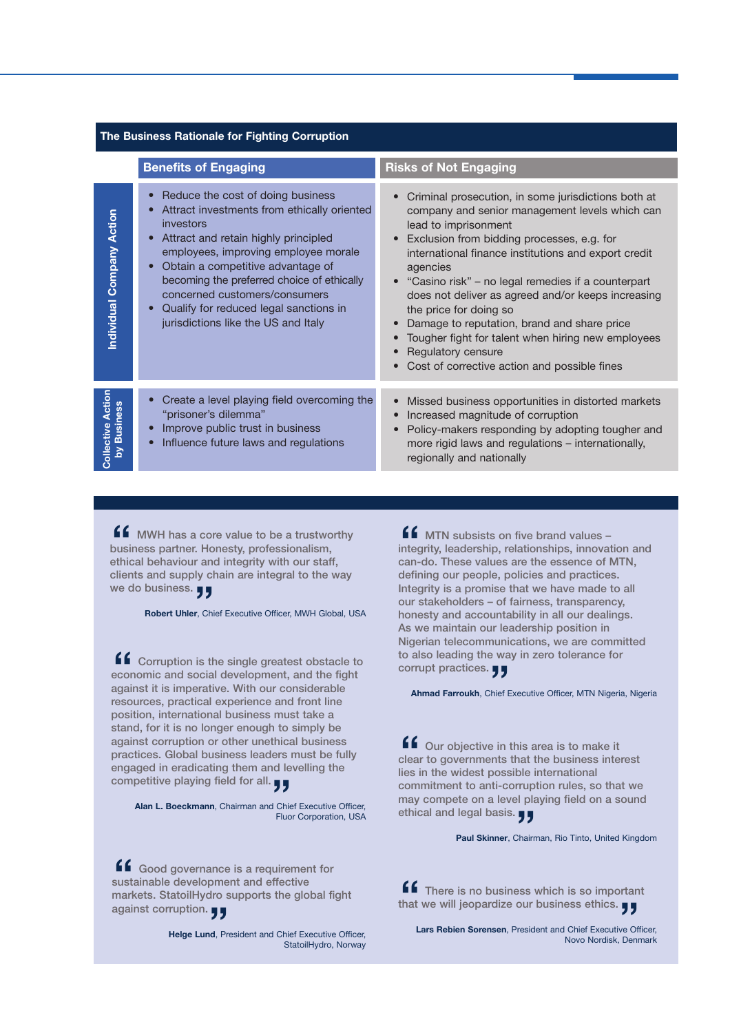| The Business Rationale for Fighting Corruption |                                                                                                                                                                                                                                                                                                                                                                                                                                                     |                                                                                                                                                                                                                                                                                                                                                                                                                                                                                                                                                                  |
|------------------------------------------------|-----------------------------------------------------------------------------------------------------------------------------------------------------------------------------------------------------------------------------------------------------------------------------------------------------------------------------------------------------------------------------------------------------------------------------------------------------|------------------------------------------------------------------------------------------------------------------------------------------------------------------------------------------------------------------------------------------------------------------------------------------------------------------------------------------------------------------------------------------------------------------------------------------------------------------------------------------------------------------------------------------------------------------|
|                                                | <b>Benefits of Engaging</b>                                                                                                                                                                                                                                                                                                                                                                                                                         | <b>Risks of Not Engaging</b>                                                                                                                                                                                                                                                                                                                                                                                                                                                                                                                                     |
| Individual Company Action                      | Reduce the cost of doing business<br>$\bullet$<br>Attract investments from ethically oriented<br>$\bullet$<br>investors<br>Attract and retain highly principled<br>$\bullet$<br>employees, improving employee morale<br>Obtain a competitive advantage of<br>$\bullet$<br>becoming the preferred choice of ethically<br>concerned customers/consumers<br>Qualify for reduced legal sanctions in<br>$\bullet$<br>jurisdictions like the US and Italy | Criminal prosecution, in some jurisdictions both at<br>company and senior management levels which can<br>lead to imprisonment<br>Exclusion from bidding processes, e.g. for<br>international finance institutions and export credit<br>agencies<br>"Casino risk" - no legal remedies if a counterpart<br>does not deliver as agreed and/or keeps increasing<br>the price for doing so<br>Damage to reputation, brand and share price<br>Tougher fight for talent when hiring new employees<br>Regulatory censure<br>Cost of corrective action and possible fines |
|                                                |                                                                                                                                                                                                                                                                                                                                                                                                                                                     |                                                                                                                                                                                                                                                                                                                                                                                                                                                                                                                                                                  |
| Collective Action<br>by Business               | Create a level playing field overcoming the<br>$\bullet$<br>"prisoner's dilemma"<br>Improve public trust in business<br>$\bullet$<br>Influence future laws and regulations<br>$\bullet$                                                                                                                                                                                                                                                             | Missed business opportunities in distorted markets<br>Increased magnitude of corruption<br>Policy-makers responding by adopting tougher and<br>more rigid laws and regulations – internationally,<br>regionally and nationally                                                                                                                                                                                                                                                                                                                                   |

**f f** MWH has a core value to be a trustworthy business partner. Honesty, professionalism, ethical behaviour and integrity with our staff, **business partner. Honesty, professionalism, ethical behaviour and integrity with our staff, clients and supply chain are integral to the way we do business. "**

**Robert Uhler**, Chief Executive Officer, MWH Global, USA

**f** Corruption is the single greatest obstacle to economic and social development, and the fight against it is imperative. With our considerable **economic and social development, and the fight against it is imperative. With our considerable resources, practical experience and front line position, international business must take a stand, for it is no longer enough to simply be against corruption or other unethical business practices. Global business leaders must be fully engaged in eradicating them and levelling the** engaged in eradicating them and le<br>competitive playing field for all. <sub>JJ</sub>

**Alan L. Boeckmann**, Chairman and Chief Executive Officer, Fluor Corporation, USA

**ff** Good governance is a requirement for sustainable development and effective markets. StatoilHydro supports the global fi **sustainable development and effective markets. StatoilHydro supports the global fight** markets. StatoilHydro s<br>against corruption. <sub>JJ</sub>

> **Helge Lund**, President and Chief Executive Officer, StatoilHydro, Norway

**MTN** subsists on five brand values – **integrity, leadership, relationships, innovation and can-do. These values are the essence of MTN, defining our people, policies and practices. Integrity is a promise that we have made to all our stakeholders – of fairness, transparency, honesty and accountability in all our dealings. As we maintain our leadership position in Nigerian telecommunications, we are committed to also leading the way in zero tolerance for** to also leading the wa<br>corrupt practices. **JJ ff**<br>nteg<br>can-

**Ahmad Farroukh**, Chief Executive Officer, MTN Nigeria, Nigeria

**f** Our objective in this area is to make it clear to governments that the business interies in the widest possible international **clear to governments that the business interest lies in the widest possible international commitment to anti-corruption rules, so that we may compete on a level playing field on a sound ethical and legal basis. "**

**Paul Skinner**, Chairman, Rio Tinto, United Kingdom

**ff** There is no business which is so important **that we will jeopardize our business ethics. ff** There is no business which is so importan<br>that we will jeopardize our business ethics. **JJ** 

**Lars Rebien Sorensen**, President and Chief Executive Officer, Novo Nordisk, Denmark